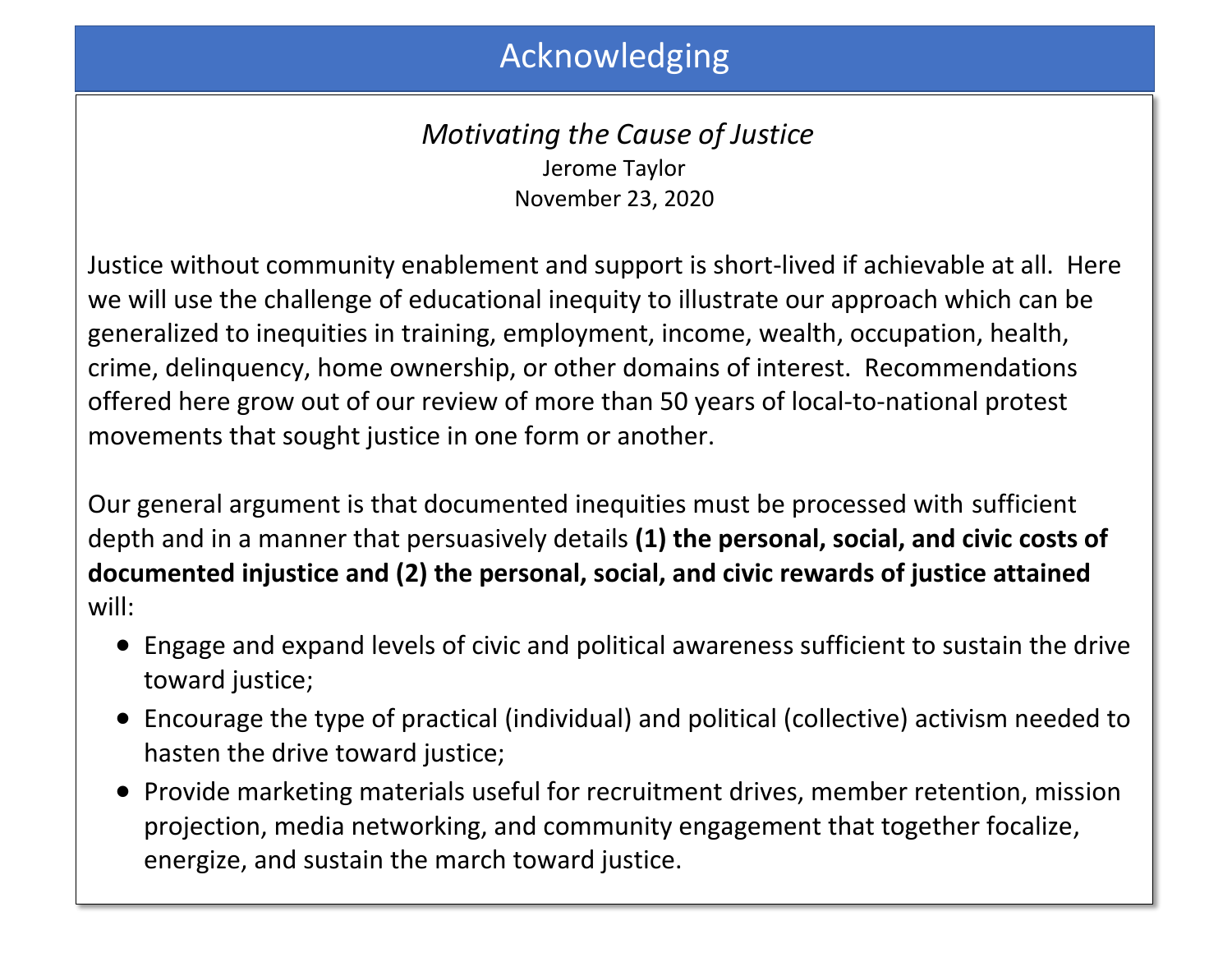# Acknowledging

## *Motivating the Cause of Justice* Jerome Taylor November 23, 2020

Justice without community enablement and support is short-lived if achievable at all. Here we will use the challenge of educational inequity to illustrate our approach which can be generalized to inequities in training, employment, income, wealth, occupation, health, crime, delinquency, home ownership, or other domains of interest. Recommendations offered here grow out of our review of more than 50 years of local-to-national protest movements that sought justice in one form or another.

Our general argument is that documented inequities must be processed with sufficient depth and in a manner that persuasively details **(1) the personal, social, and civic costs of documented injustice and (2) the personal, social, and civic rewards of justice attained** will:

- Engage and expand levels of civic and political awareness sufficient to sustain the drive toward justice;
- Encourage the type of practical (individual) and political (collective) activism needed to hasten the drive toward justice;
- Provide marketing materials useful for recruitment drives, member retention, mission projection, media networking, and community engagement that together focalize, energize, and sustain the march toward justice.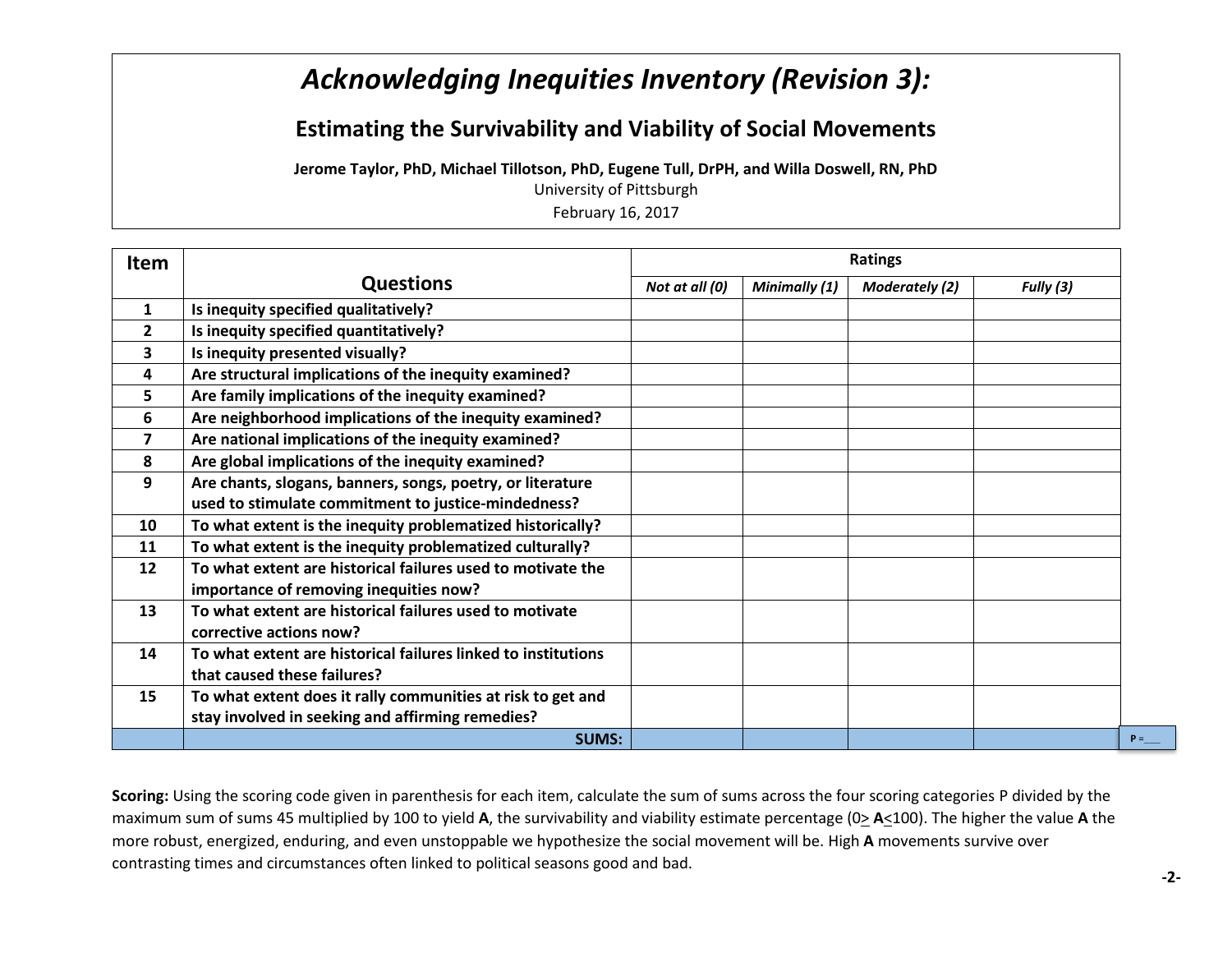## *Acknowledging Inequities Inventory (Revision 3):*

#### **Estimating the Survivability and Viability of Social Movements**

**Jerome Taylor, PhD, Michael Tillotson, PhD, Eugene Tull, DrPH, and Willa Doswell, RN, PhD**

University of Pittsburgh

February 16, 2017

| <b>Item</b>             |                                                               | <b>Ratings</b> |               |                       |           |  |
|-------------------------|---------------------------------------------------------------|----------------|---------------|-----------------------|-----------|--|
|                         | <b>Questions</b>                                              | Not at all (0) | Minimally (1) | <b>Moderately (2)</b> | Fully (3) |  |
| $\mathbf{1}$            | Is inequity specified qualitatively?                          |                |               |                       |           |  |
| $\mathbf{2}$            | Is inequity specified quantitatively?                         |                |               |                       |           |  |
| 3                       | Is inequity presented visually?                               |                |               |                       |           |  |
| 4                       | Are structural implications of the inequity examined?         |                |               |                       |           |  |
| 5                       | Are family implications of the inequity examined?             |                |               |                       |           |  |
| 6                       | Are neighborhood implications of the inequity examined?       |                |               |                       |           |  |
| $\overline{\mathbf{z}}$ | Are national implications of the inequity examined?           |                |               |                       |           |  |
| 8                       | Are global implications of the inequity examined?             |                |               |                       |           |  |
| 9                       | Are chants, slogans, banners, songs, poetry, or literature    |                |               |                       |           |  |
|                         | used to stimulate commitment to justice-mindedness?           |                |               |                       |           |  |
| 10                      | To what extent is the inequity problematized historically?    |                |               |                       |           |  |
| 11                      | To what extent is the inequity problematized culturally?      |                |               |                       |           |  |
| 12                      | To what extent are historical failures used to motivate the   |                |               |                       |           |  |
|                         | importance of removing inequities now?                        |                |               |                       |           |  |
| 13                      | To what extent are historical failures used to motivate       |                |               |                       |           |  |
|                         | corrective actions now?                                       |                |               |                       |           |  |
| 14                      | To what extent are historical failures linked to institutions |                |               |                       |           |  |
|                         | that caused these failures?                                   |                |               |                       |           |  |
| 15                      | To what extent does it rally communities at risk to get and   |                |               |                       |           |  |
|                         | stay involved in seeking and affirming remedies?              |                |               |                       |           |  |
|                         | <b>SUMS:</b>                                                  |                |               |                       |           |  |

**Scoring:** Using the scoring code given in parenthesis for each item, calculate the sum of sums across the four scoring categories P divided by the maximum sum of sums 45 multiplied by 100 to yield **A**, the survivability and viability estimate percentage (0> **A**<100). The higher the value **A** the more robust, energized, enduring, and even unstoppable we hypothesize the social movement will be. High **A** movements survive over contrasting times and circumstances often linked to political seasons good and bad.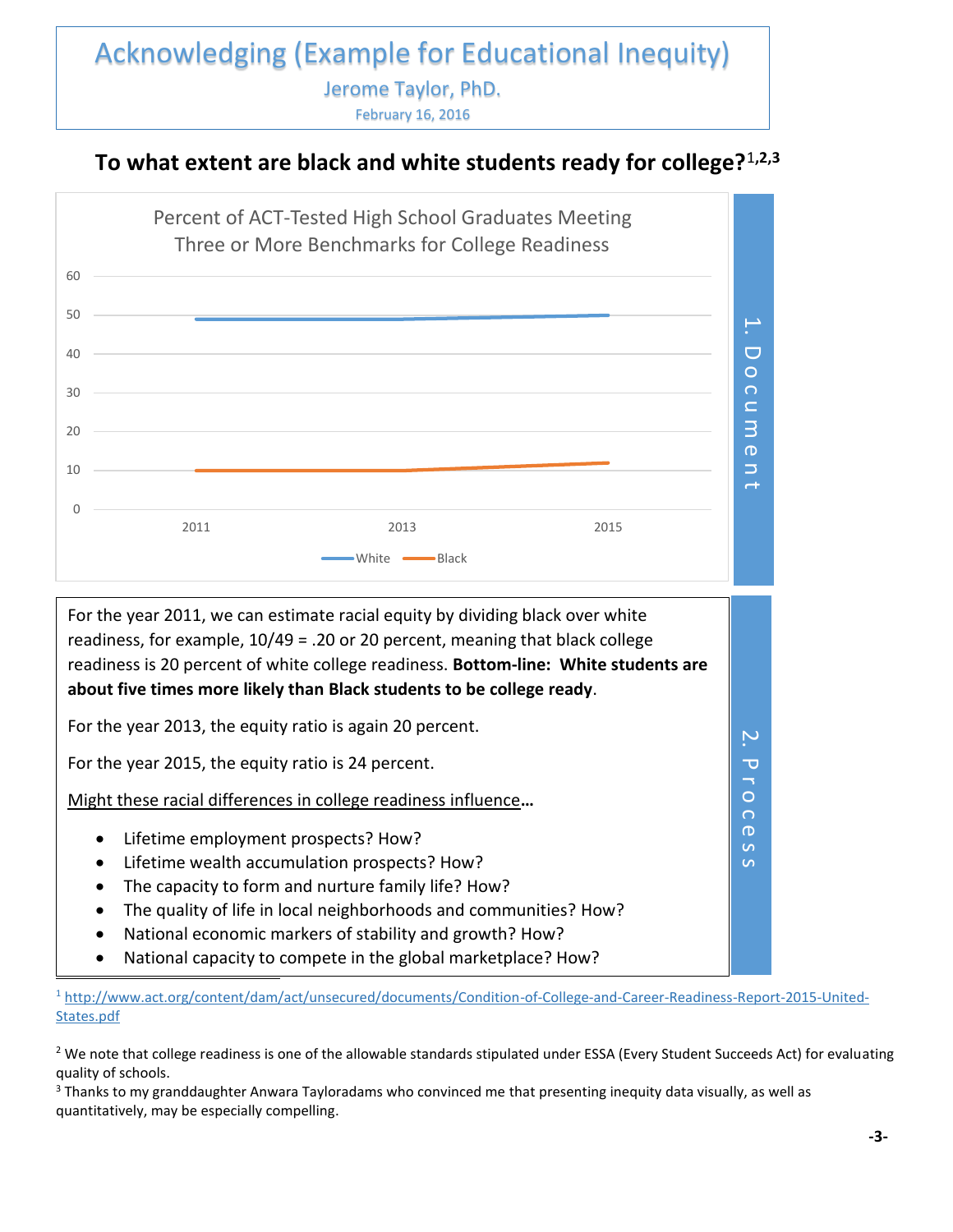#### Acknowledging (Example for Educational Inequity) Jerome Taylor, PhD. February 16, 2016

#### **To what extent are black and white students ready for college?**<sup>1</sup>**,2,3**



<sup>1</sup> [http://www.act.org/content/dam/act/unsecured/documents/Condition-of-College-and-Career-Readiness-Report-2015-United-](http://www.act.org/content/dam/act/unsecured/documents/Condition-of-College-and-Career-Readiness-Report-2015-United-States.pdf)[States.pdf](http://www.act.org/content/dam/act/unsecured/documents/Condition-of-College-and-Career-Readiness-Report-2015-United-States.pdf)

 $2$  We note that college readiness is one of the allowable standards stipulated under ESSA (Every Student Succeeds Act) for evaluating quality of schools.

<sup>3</sup> Thanks to my granddaughter Anwara Tayloradams who convinced me that presenting inequity data visually, as well as quantitatively, may be especially compelling.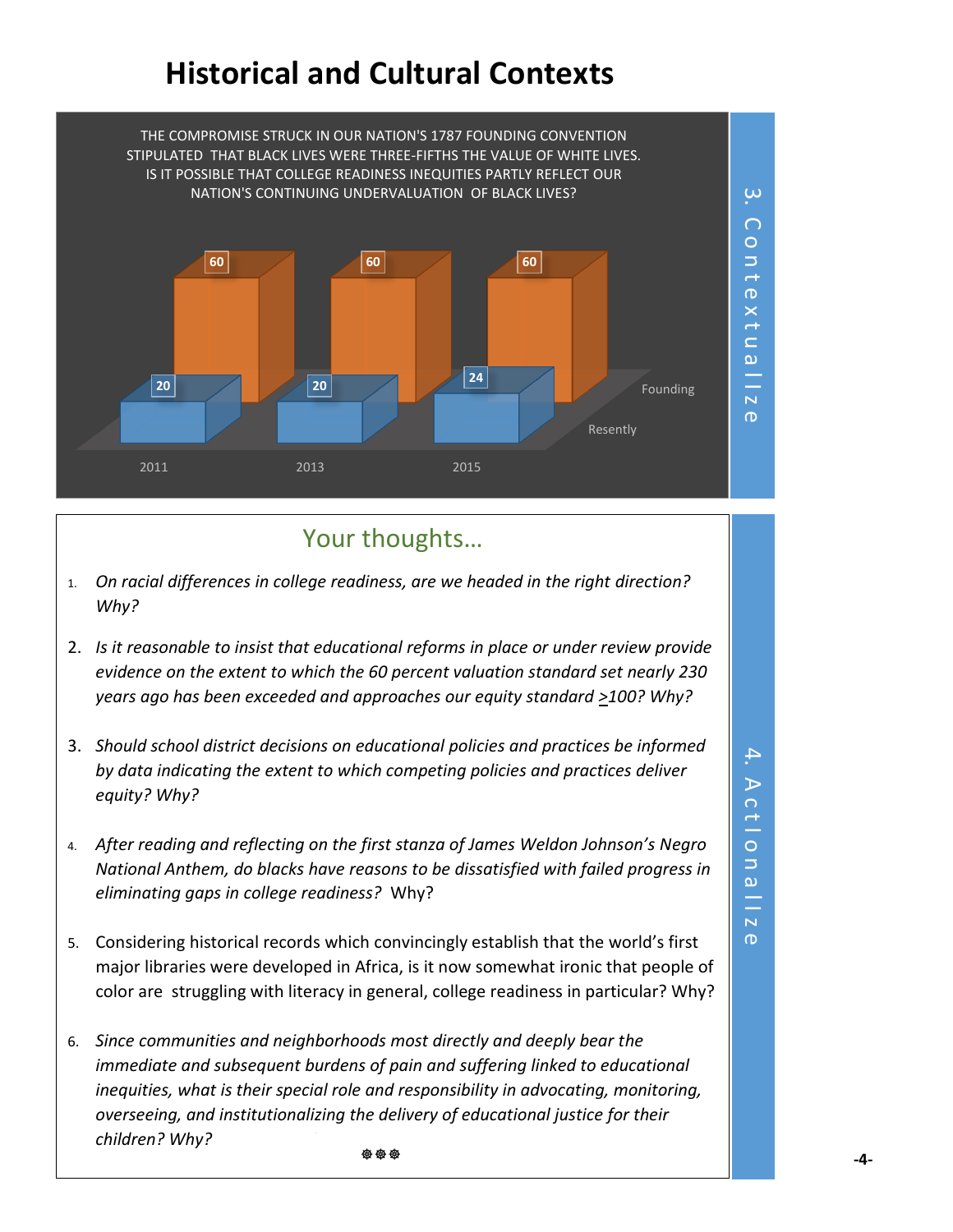# **Historical and Cultural Contexts**



## Your thoughts…

- 1. *On racial differences in college readiness, are we headed in the right direction? Why?*
- 2. *Is it reasonable to insist that educational reforms in place or under review provide evidence on the extent to which the 60 percent valuation standard set nearly 230 years ago has been exceeded and approaches our equity standard >100? Why?*
- 3. *Should school district decisions on educational policies and practices be informed by data indicating the extent to which competing policies and practices deliver equity? Why?*
- 4. *After reading and reflecting on the first stanza of James Weldon Johnson's Negro National Anthem, do blacks have reasons to be dissatisfied with failed progress in eliminating gaps in college readiness?* Why?
- 5. Considering historical records which convincingly establish that the world's first major libraries were developed in Africa, is it now somewhat ironic that people of color are struggling with literacy in general, college readiness in particular? Why?
- 6. *Since communities and neighborhoods most directly and deeply bear the immediate and subsequent burdens of pain and suffering linked to educational inequities, what is their special role and responsibility in advocating, monitoring, overseeing, and institutionalizing the delivery of educational justice for their children? Why?* **安安安**